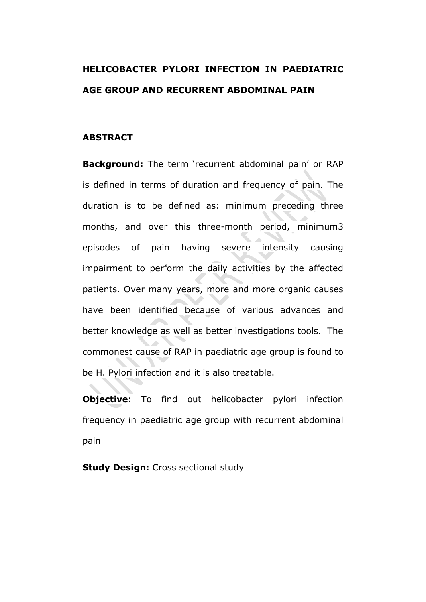# **HELICOBACTER PYLORI INFECTION IN PAEDIATRIC AGE GROUP AND RECURRENT ABDOMINAL PAIN**

### **ABSTRACT**

**Background:** The term 'recurrent abdominal pain' or RAP is defined in terms of duration and frequency of pain. The duration is to be defined as: minimum preceding three months, and over this three-month period, minimum3 episodes of pain having severe intensity causing impairment to perform the daily activities by the affected patients. Over many years, more and more organic causes have been identified because of various advances and better knowledge as well as better investigations tools. The commonest cause of RAP in paediatric age group is found to be H. Pylori infection and it is also treatable.

**Objective:** To find out helicobacter pylori infection frequency in paediatric age group with recurrent abdominal pain

**Study Design: Cross sectional study**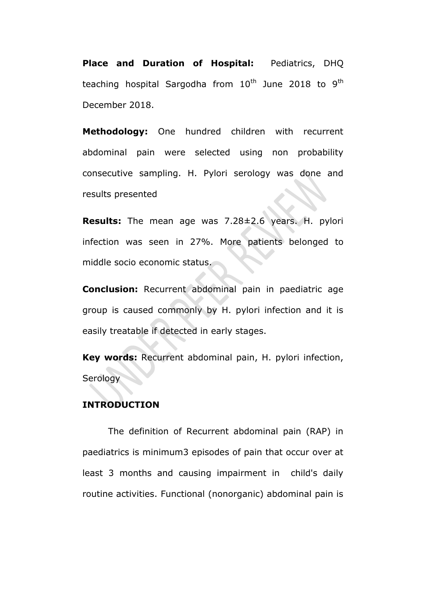**Place and Duration of Hospital:** Pediatrics, DHQ teaching hospital Sargodha from  $10^{th}$  June 2018 to 9<sup>th</sup> December 2018.

**Methodology:** One hundred children with recurrent abdominal pain were selected using non probability consecutive sampling. H. Pylori serology was done and results presented

**Results:** The mean age was 7.28±2.6 years. H. pylori infection was seen in 27%. More patients belonged to middle socio economic status.

**Conclusion:** Recurrent abdominal pain in paediatric age group is caused commonly by H. pylori infection and it is easily treatable if detected in early stages.

**Key words:** Recurrent abdominal pain, H. pylori infection, **Serology** 

### **INTRODUCTION**

The definition of Recurrent abdominal pain (RAP) in paediatrics is minimum3 episodes of pain that occur over at least 3 months and causing impairment in child's daily routine activities. Functional (nonorganic) abdominal pain is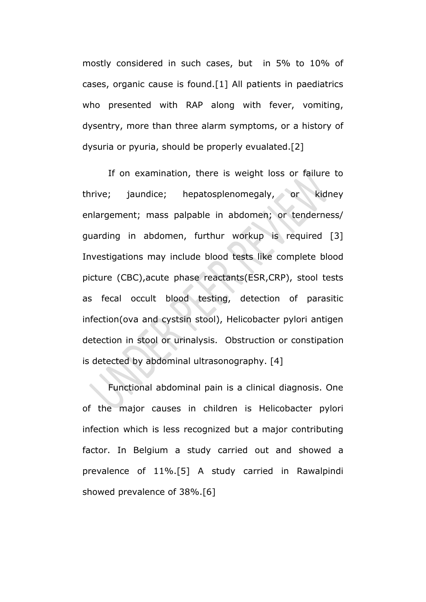mostly considered in such cases, but in 5% to 10% of cases, organic cause is found.[1] All patients in paediatrics who presented with RAP along with fever, vomiting, dysentry, more than three alarm symptoms, or a history of dysuria or pyuria, should be properly evualated.[2]

If on examination, there is weight loss or failure to thrive; jaundice; hepatosplenomegaly, or kidney enlargement; mass palpable in abdomen; or tenderness/ guarding in abdomen, furthur workup is required [3] Investigations may include blood tests like complete blood picture (CBC),acute phase reactants(ESR,CRP), stool tests as fecal occult blood testing, detection of parasitic infection(ova and cystsin stool), Helicobacter pylori antigen detection in stool or urinalysis. Obstruction or constipation is detected by abdominal ultrasonography. [4]

Functional abdominal pain is a clinical diagnosis. One of the major causes in children is Helicobacter pylori infection which is less recognized but a major contributing factor. In Belgium a study carried out and showed a prevalence of 11%.[5] A study carried in Rawalpindi showed prevalence of 38%.[6]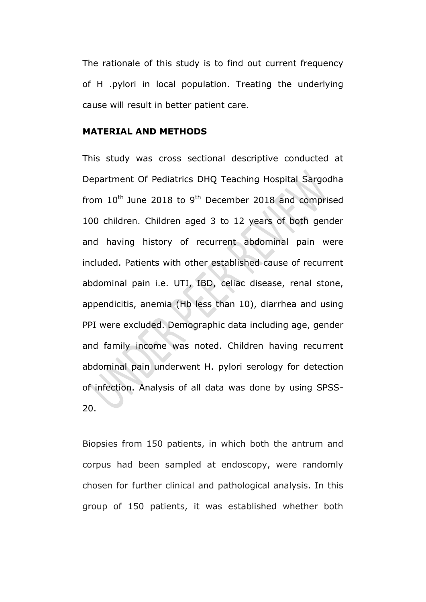The rationale of this study is to find out current frequency of H .pylori in local population. Treating the underlying cause will result in better patient care.

#### **MATERIAL AND METHODS**

This study was cross sectional descriptive conducted at Department Of Pediatrics DHQ Teaching Hospital Sargodha from  $10^{th}$  June 2018 to 9<sup>th</sup> December 2018 and comprised 100 children. Children aged 3 to 12 years of both gender and having history of recurrent abdominal pain were included. Patients with other established cause of recurrent abdominal pain i.e. UTI, IBD, celiac disease, renal stone, appendicitis, anemia (Hb less than 10), diarrhea and using PPI were excluded. Demographic data including age, gender and family income was noted. Children having recurrent abdominal pain underwent H. pylori serology for detection of infection. Analysis of all data was done by using SPSS-20.

Biopsies from 150 patients, in which both the antrum and corpus had been sampled at endoscopy, were randomly chosen for further clinical and pathological analysis. In this group of 150 patients, it was established whether both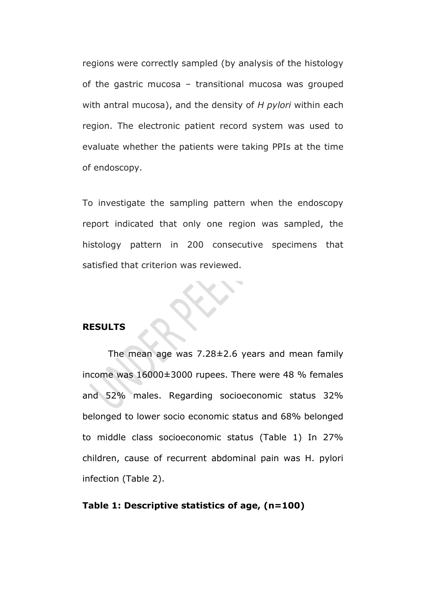regions were correctly sampled (by analysis of the histology of the gastric mucosa – transitional mucosa was grouped with antral mucosa), and the density of *H pylori* within each region. The electronic patient record system was used to evaluate whether the patients were taking PPIs at the time of endoscopy.

To investigate the sampling pattern when the endoscopy report indicated that only one region was sampled, the histology pattern in 200 consecutive specimens that satisfied that criterion was reviewed.

#### **RESULTS**

The mean age was 7.28±2.6 years and mean family income was 16000±3000 rupees. There were 48 % females and 52% males. Regarding socioeconomic status 32% belonged to lower socio economic status and 68% belonged to middle class socioeconomic status (Table 1) In 27% children, cause of recurrent abdominal pain was H. pylori infection (Table 2).

#### **Table 1: Descriptive statistics of age, (n=100)**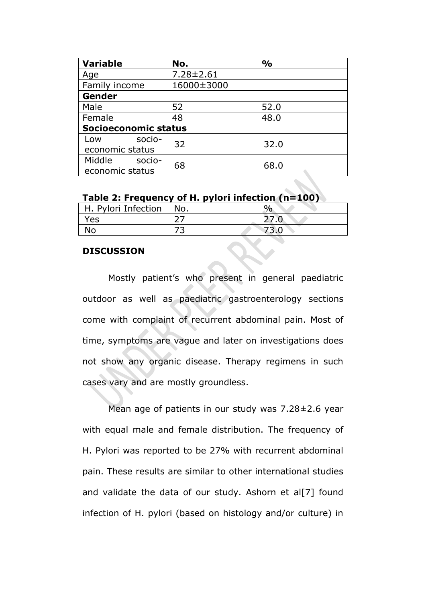| <b>Variable</b>             | No.             | $\frac{0}{0}$ |  |
|-----------------------------|-----------------|---------------|--|
| Age                         | $7.28 \pm 2.61$ |               |  |
| Family income               | 16000±3000      |               |  |
| Gender                      |                 |               |  |
| Male                        | 52              | 52.0          |  |
| Female                      | 48              | 48.0          |  |
| <b>Socioeconomic status</b> |                 |               |  |
| socio-<br>Low               | 32              | 32.0          |  |
| economic status             |                 |               |  |
| Middle<br>socio-            | 68              | 68.0          |  |
| economic status             |                 |               |  |

| H. Pylori Infection | No. | 0/ |
|---------------------|-----|----|
| Yes                 |     |    |
|                     |     |    |

#### **DISCUSSION**

Mostly patient's who present in general paediatric outdoor as well as paediatric gastroenterology sections come with complaint of recurrent abdominal pain. Most of time, symptoms are vague and later on investigations does not show any organic disease. Therapy regimens in such cases vary and are mostly groundless.

Mean age of patients in our study was 7.28±2.6 year with equal male and female distribution. The frequency of H. Pylori was reported to be 27% with recurrent abdominal pain. These results are similar to other international studies and validate the data of our study. Ashorn et al[7] found infection of H. pylori (based on histology and/or culture) in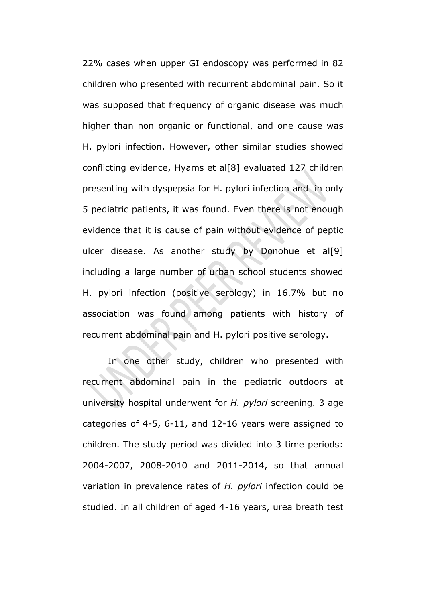22% cases when upper GI endoscopy was performed in 82 children who presented with recurrent abdominal pain. So it was supposed that frequency of organic disease was much higher than non organic or functional, and one cause was H. pylori infection. However, other similar studies showed conflicting evidence, Hyams et al[8] evaluated 127 children presenting with dyspepsia for H. pylori infection and in only 5 pediatric patients, it was found. Even there is not enough evidence that it is cause of pain without evidence of peptic ulcer disease. As another study by Donohue et al[9] including a large number of urban school students showed H. pylori infection (positive serology) in 16.7% but no association was found among patients with history of recurrent abdominal pain and H. pylori positive serology.

In one other study, children who presented with recurrent abdominal pain in the pediatric outdoors at university hospital underwent for *H. pylori* screening. 3 age categories of 4-5, 6-11, and 12-16 years were assigned to children. The study period was divided into 3 time periods: 2004-2007, 2008-2010 and 2011-2014, so that annual variation in prevalence rates of *H. pylori* infection could be studied. In all children of aged 4-16 years, urea breath test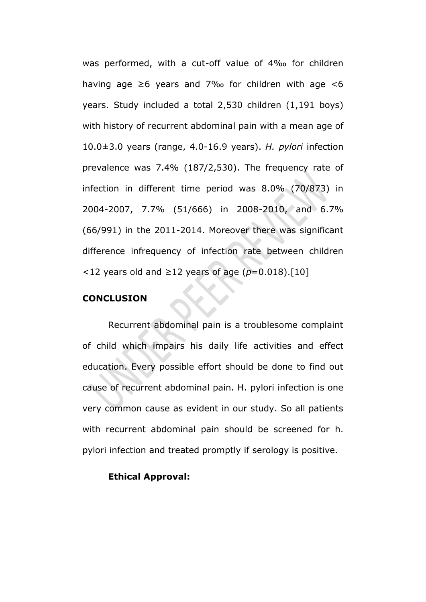was performed, with a cut-off value of 4‰ for children having age  $\geq 6$  years and 7‰ for children with age <6 years. Study included a total 2,530 children (1,191 boys) with history of recurrent abdominal pain with a mean age of 10.0±3.0 years (range, 4.0-16.9 years). *H. pylori* infection prevalence was 7.4% (187/2,530). The frequency rate of infection in different time period was 8.0% (70/873) in 2004-2007, 7.7% (51/666) in 2008-2010, and 6.7% (66/991) in the 2011-2014. Moreover there was significant difference infrequency of infection rate between children <12 years old and ≥12 years of age (*p*=0.018).[10]

#### **CONCLUSION**

Recurrent abdominal pain is a troublesome complaint of child which impairs his daily life activities and effect education. Every possible effort should be done to find out cause of recurrent abdominal pain. H. pylori infection is one very common cause as evident in our study. So all patients with recurrent abdominal pain should be screened for h. pylori infection and treated promptly if serology is positive.

#### **Ethical Approval:**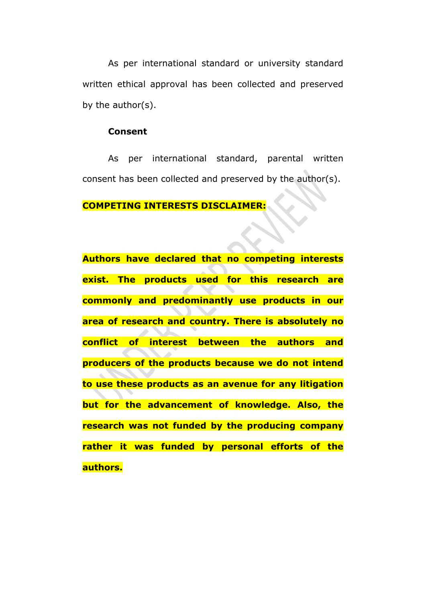As per international standard or university standard written ethical approval has been collected and preserved by the author(s).

### **Consent**

As per international standard, parental written consent has been collected and preserved by the author(s).

#### **COMPETING INTERESTS DISCLAIMER:**

**Authors have declared that no competing interests exist. The products used for this research are commonly and predominantly use products in our area of research and country. There is absolutely no conflict of interest between the authors and producers of the products because we do not intend to use these products as an avenue for any litigation but for the advancement of knowledge. Also, the research was not funded by the producing company rather it was funded by personal efforts of the authors.**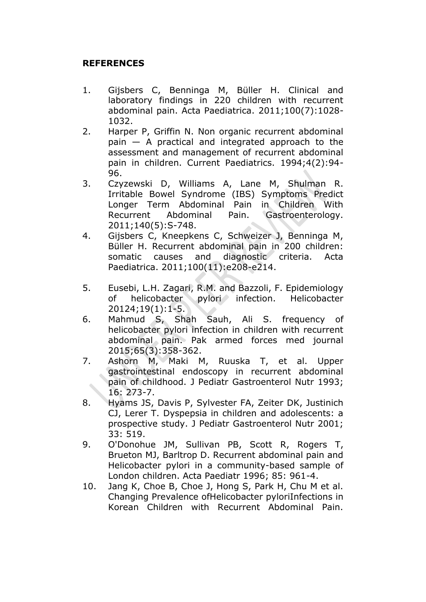## **REFERENCES**

- 1. Gijsbers C, Benninga M, Büller H. Clinical and laboratory findings in 220 children with recurrent abdominal pain. Acta Paediatrica. 2011;100(7):1028- 1032.
- 2. Harper P, Griffin N. Non organic recurrent abdominal pain — A practical and integrated approach to the assessment and management of recurrent abdominal pain in children. Current Paediatrics. 1994;4(2):94- 96.
- 3. Czyzewski D, Williams A, Lane M, Shulman R. Irritable Bowel Syndrome (IBS) Symptoms Predict Longer Term Abdominal Pain in Children With Recurrent Abdominal Pain. Gastroenterology. 2011;140(5):S-748.
- 4. Gijsbers C, Kneepkens C, Schweizer J, Benninga M, Büller H. Recurrent abdominal pain in 200 children: somatic causes and diagnostic criteria. Acta Paediatrica. 2011;100(11):e208-e214.
- 5. Eusebi, L.H. Zagari, R.M. and Bazzoli, F. Epidemiology of helicobacter pylori infection. Helicobacter 20124;19(1):1-5.
- 6. Mahmud S, Shah Sauh, Ali S. frequency of helicobacter pylori infection in children with recurrent abdominal pain. Pak armed forces med journal 2015;65(3):358-362.
- 7. Ashorn M, Maki M, Ruuska T, et al. Upper gastrointestinal endoscopy in recurrent abdominal pain of childhood. J Pediatr Gastroenterol Nutr 1993; 16: 273-7.
- 8. Hyams JS, Davis P, Sylvester FA, Zeiter DK, Justinich CJ, Lerer T. Dyspepsia in children and adolescents: a prospective study. J Pediatr Gastroenterol Nutr 2001; 33: 519.
- 9. O'Donohue JM, Sullivan PB, Scott R, Rogers T, Brueton MJ, Barltrop D. Recurrent abdominal pain and Helicobacter pylori in a community-based sample of London children. Acta Paediatr 1996; 85: 961-4.
- 10. Jang K, Choe B, Choe J, Hong S, Park H, Chu M et al. Changing Prevalence ofHelicobacter pyloriInfections in Korean Children with Recurrent Abdominal Pain.